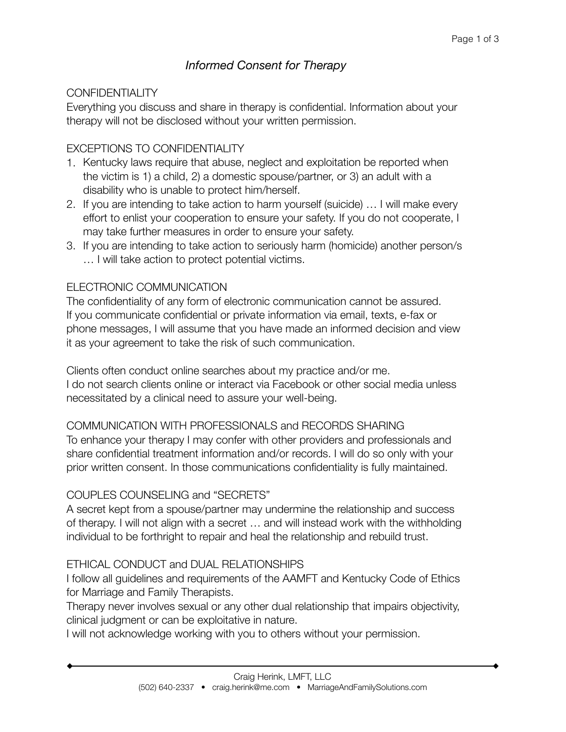# *Informed Consent for Therapy*

## CONFIDENTIALITY

Everything you discuss and share in therapy is confidential. Information about your therapy will not be disclosed without your written permission.

## EXCEPTIONS TO CONFIDENTIALITY

- 1. Kentucky laws require that abuse, neglect and exploitation be reported when the victim is 1) a child, 2) a domestic spouse/partner, or 3) an adult with a disability who is unable to protect him/herself.
- 2. If you are intending to take action to harm yourself (suicide) … I will make every effort to enlist your cooperation to ensure your safety. If you do not cooperate, I may take further measures in order to ensure your safety.
- 3. If you are intending to take action to seriously harm (homicide) another person/s … I will take action to protect potential victims.

## ELECTRONIC COMMUNICATION

The confidentiality of any form of electronic communication cannot be assured. If you communicate confidential or private information via email, texts, e-fax or phone messages, I will assume that you have made an informed decision and view it as your agreement to take the risk of such communication.

Clients often conduct online searches about my practice and/or me. I do not search clients online or interact via Facebook or other social media unless necessitated by a clinical need to assure your well-being.

## COMMUNICATION WITH PROFESSIONALS and RECORDS SHARING

To enhance your therapy I may confer with other providers and professionals and share confidential treatment information and/or records. I will do so only with your prior written consent. In those communications confidentiality is fully maintained.

## COUPLES COUNSELING and "SECRETS"

A secret kept from a spouse/partner may undermine the relationship and success of therapy. I will not align with a secret … and will instead work with the withholding individual to be forthright to repair and heal the relationship and rebuild trust.

## ETHICAL CONDUCT and DUAL RELATIONSHIPS

I follow all guidelines and requirements of the AAMFT and Kentucky Code of Ethics for Marriage and Family Therapists.

Therapy never involves sexual or any other dual relationship that impairs objectivity, clinical judgment or can be exploitative in nature.

I will not acknowledge working with you to others without your permission.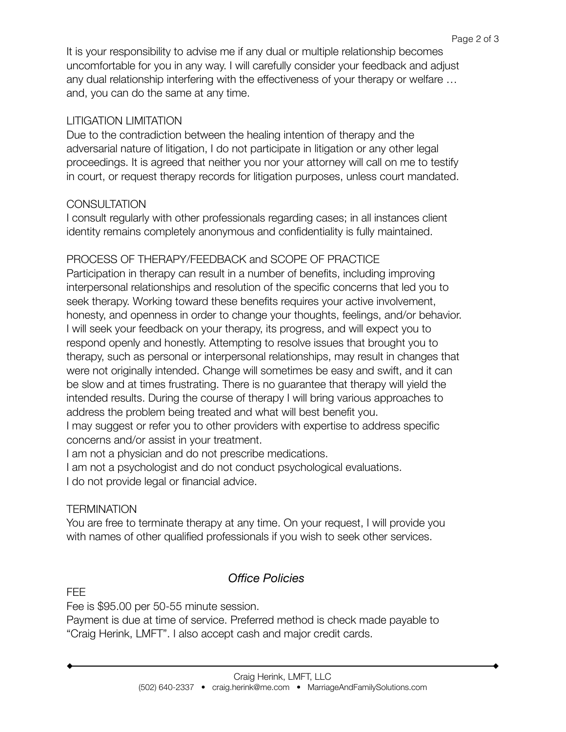It is your responsibility to advise me if any dual or multiple relationship becomes uncomfortable for you in any way. I will carefully consider your feedback and adjust any dual relationship interfering with the effectiveness of your therapy or welfare … and, you can do the same at any time.

## LITIGATION LIMITATION

Due to the contradiction between the healing intention of therapy and the adversarial nature of litigation, I do not participate in litigation or any other legal proceedings. It is agreed that neither you nor your attorney will call on me to testify in court, or request therapy records for litigation purposes, unless court mandated.

## **CONSULTATION**

I consult regularly with other professionals regarding cases; in all instances client identity remains completely anonymous and confidentiality is fully maintained.

## PROCESS OF THERAPY/FEEDBACK and SCOPE OF PRACTICE

Participation in therapy can result in a number of benefits, including improving interpersonal relationships and resolution of the specific concerns that led you to seek therapy. Working toward these benefits requires your active involvement, honesty, and openness in order to change your thoughts, feelings, and/or behavior. I will seek your feedback on your therapy, its progress, and will expect you to respond openly and honestly. Attempting to resolve issues that brought you to therapy, such as personal or interpersonal relationships, may result in changes that were not originally intended. Change will sometimes be easy and swift, and it can be slow and at times frustrating. There is no guarantee that therapy will yield the intended results. During the course of therapy I will bring various approaches to address the problem being treated and what will best benefit you.

I may suggest or refer you to other providers with expertise to address specific concerns and/or assist in your treatment.

I am not a physician and do not prescribe medications.

I am not a psychologist and do not conduct psychological evaluations.

I do not provide legal or financial advice.

## **TERMINATION**

You are free to terminate therapy at any time. On your request, I will provide you with names of other qualified professionals if you wish to seek other services.

# *Office Policies*

FEE

Fee is \$95.00 per 50-55 minute session.

Payment is due at time of service. Preferred method is check made payable to "Craig Herink, LMFT". I also accept cash and major credit cards.